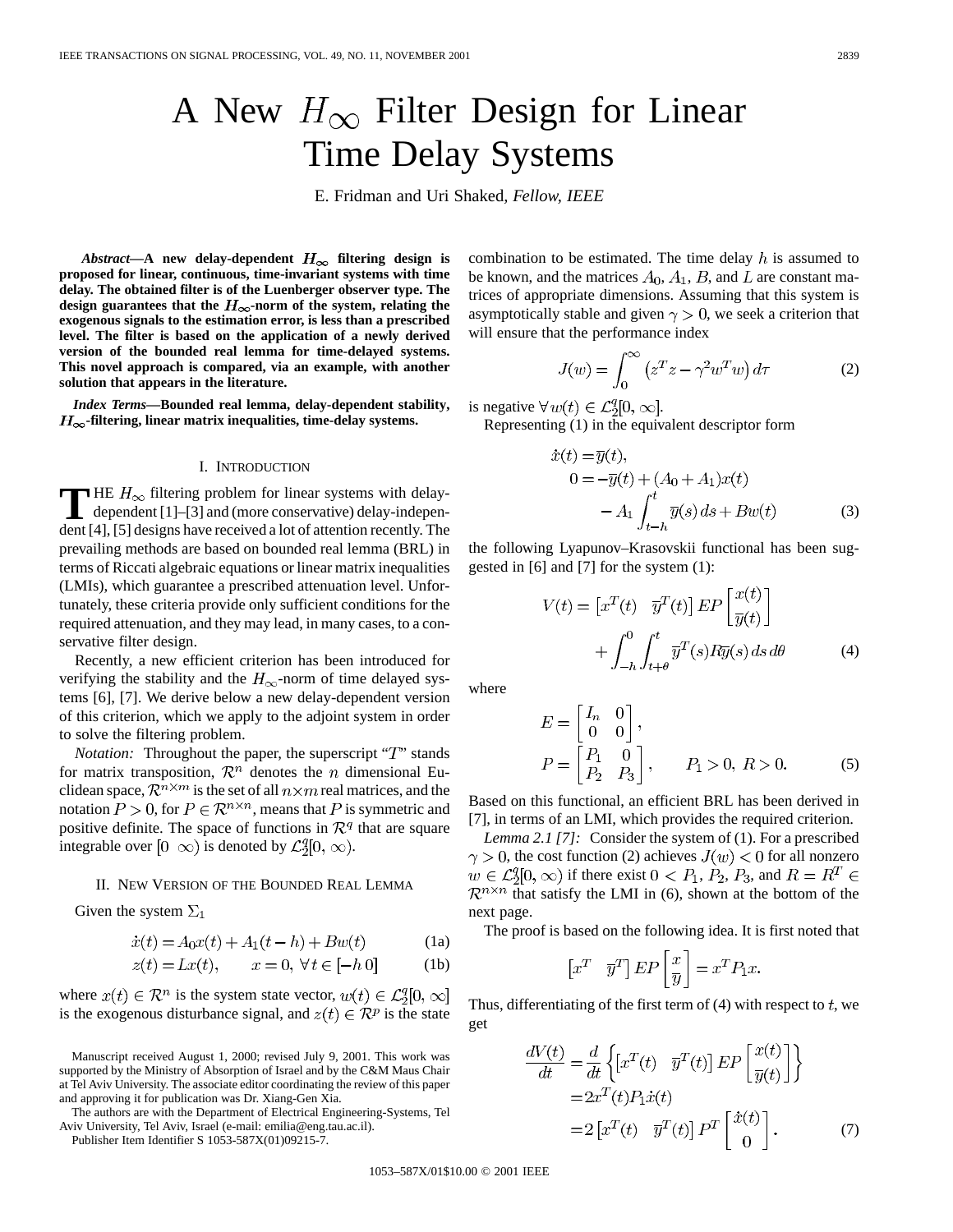# A New  $H_{\infty}$  Filter Design for Linear Time Delay Systems

E. Fridman and Uri Shaked*, Fellow, IEEE*

*Abstract*—A new delay-dependent  $H_{\infty}$  filtering design is **proposed for linear, continuous, time-invariant systems with time delay. The obtained filter is of the Luenberger observer type. The** design guarantees that the  $H_{\infty}$ -norm of the system, relating the **exogenous signals to the estimation error, is less than a prescribed level. The filter is based on the application of a newly derived version of the bounded real lemma for time-delayed systems. This novel approach is compared, via an example, with another solution that appears in the literature.**

*Index Terms—***Bounded real lemma, delay-dependent stability,**  $H_{\infty}$ -filtering, linear matrix inequalities, time-delay systems.

#### I. INTRODUCTION

**T** HE  $H_{\infty}$  filtering problem for linear systems with delay-<br>dependent [1]–[3] and (more conservative) delay-indepen-<br>dent [4]. [5] designs have accepted a let of ethnics accepted The dent [4], [5] designs have received a lot of attention recently. The prevailing methods are based on bounded real lemma (BRL) in terms of Riccati algebraic equations or linear matrix inequalities (LMIs), which guarantee a prescribed attenuation level. Unfortunately, these criteria provide only sufficient conditions for the required attenuation, and they may lead, in many cases, to a conservative filter design.

Recently, a new efficient criterion has been introduced for verifying the stability and the  $H_{\infty}$ -norm of time delayed systems [6], [7]. We derive below a new delay-dependent version of this criterion, which we apply to the adjoint system in order to solve the filtering problem.

*Notation:* Throughout the paper, the superscript "T" stands for matrix transposition,  $\mathcal{R}^n$  denotes the *n* dimensional Euclidean space,  $\mathcal{R}^{n \times m}$  is the set of all  $n \times m$  real matrices, and the notation  $P > 0$ , for  $P \in \mathbb{R}^{n \times n}$ , means that P is symmetric and positive definite. The space of functions in  $\mathcal{R}^q$  that are square integrable over  $[0 \infty)$  is denoted by  $\mathcal{L}_2^q[0, \infty)$ .

### II. NEW VERSION OF THE BOUNDED REAL LEMMA

Given the system  $\Sigma_1$ 

$$
\dot{x}(t) = A_0 x(t) + A_1(t - h) + B w(t)
$$
 (1a)

$$
z(t) = Lx(t), \qquad x = 0, \forall t \in [-h \ 0] \tag{1b}
$$

where  $x(t) \in \mathcal{R}^n$  is the system state vector,  $w(t) \in \mathcal{L}_2^q[0, \infty]$ is the exogenous disturbance signal, and  $z(t) \in \mathcal{R}^p$  is the state

The authors are with the Department of Electrical Engineering-Systems, Tel Aviv University, Tel Aviv, Israel (e-mail: emilia@eng.tau.ac.il).

Publisher Item Identifier S 1053-587X(01)09215-7.

combination to be estimated. The time delay  $h$  is assumed to be known, and the matrices  $A_0$ ,  $A_1$ ,  $B$ , and  $L$  are constant matrices of appropriate dimensions. Assuming that this system is asymptotically stable and given  $\gamma > 0$ , we seek a criterion that will ensure that the performance index

$$
J(w) = \int_0^\infty \left( z^T z - \gamma^2 w^T w \right) d\tau \tag{2}
$$

is negative  $\forall w(t) \in \mathcal{L}_2^q[0, \infty]$ .

Representing (1) in the equivalent descriptor form

$$
\dot{x}(t) = \overline{y}(t),
$$
  
\n
$$
0 = -\overline{y}(t) + (A_0 + A_1)x(t)
$$
  
\n
$$
- A_1 \int_{t-h}^{t} \overline{y}(s) ds + Bw(t)
$$
\n(3)

the following Lyapunov–Krasovskii functional has been suggested in [6] and [7] for the system (1):

$$
V(t) = \begin{bmatrix} x^T(t) & \overline{y}^T(t) \end{bmatrix} E P \begin{bmatrix} x(t) \\ \overline{y}(t) \end{bmatrix} + \int_{-h}^0 \int_{t+\theta}^t \overline{y}^T(s) R \overline{y}(s) ds d\theta
$$
 (4)

where

$$
E = \begin{bmatrix} I_n & 0 \\ 0 & 0 \end{bmatrix},
$$
  
\n
$$
P = \begin{bmatrix} P_1 & 0 \\ P_2 & P_3 \end{bmatrix}, \qquad P_1 > 0, R > 0.
$$
 (5)

Based on this functional, an efficient BRL has been derived in [7], in terms of an LMI, which provides the required criterion.

*Lemma 2.1 [7]:* Consider the system of (1). For a prescribed  $\gamma > 0$ , the cost function (2) achieves  $J(w) < 0$  for all nonzero  $w \in \mathcal{L}_2^q[0, \infty)$  if there exist  $0 < P_1, P_2, P_3$ , and  $R = R^T \in$  $\mathcal{R}^{n \times n}$  that satisfy the LMI in (6), shown at the bottom of the next page.

The proof is based on the following idea. It is first noted that

$$
x^T \quad \overline{y}^T \rfloor EP\left[\frac{x}{y}\right] = x^T P_1 x
$$

Thus, differentiating of the first term of  $(4)$  with respect to t, we get

$$
\frac{dV(t)}{dt} = \frac{d}{dt} \left\{ \left[ x^T(t) \quad \overline{y}^T(t) \right] EP\left[ \frac{x(t)}{\overline{y}(t)} \right] \right\}
$$

$$
= 2x^T(t)P_1\dot{x}(t)
$$

$$
= 2\left[ x^T(t) \quad \overline{y}^T(t) \right] P^T\left[ \frac{\dot{x}(t)}{0} \right].
$$
 (7)

Manuscript received August 1, 2000; revised July 9, 2001. This work was supported by the Ministry of Absorption of Israel and by the C&M Maus Chair at Tel Aviv University. The associate editor coordinating the review of this paper and approving it for publication was Dr. Xiang-Gen Xia.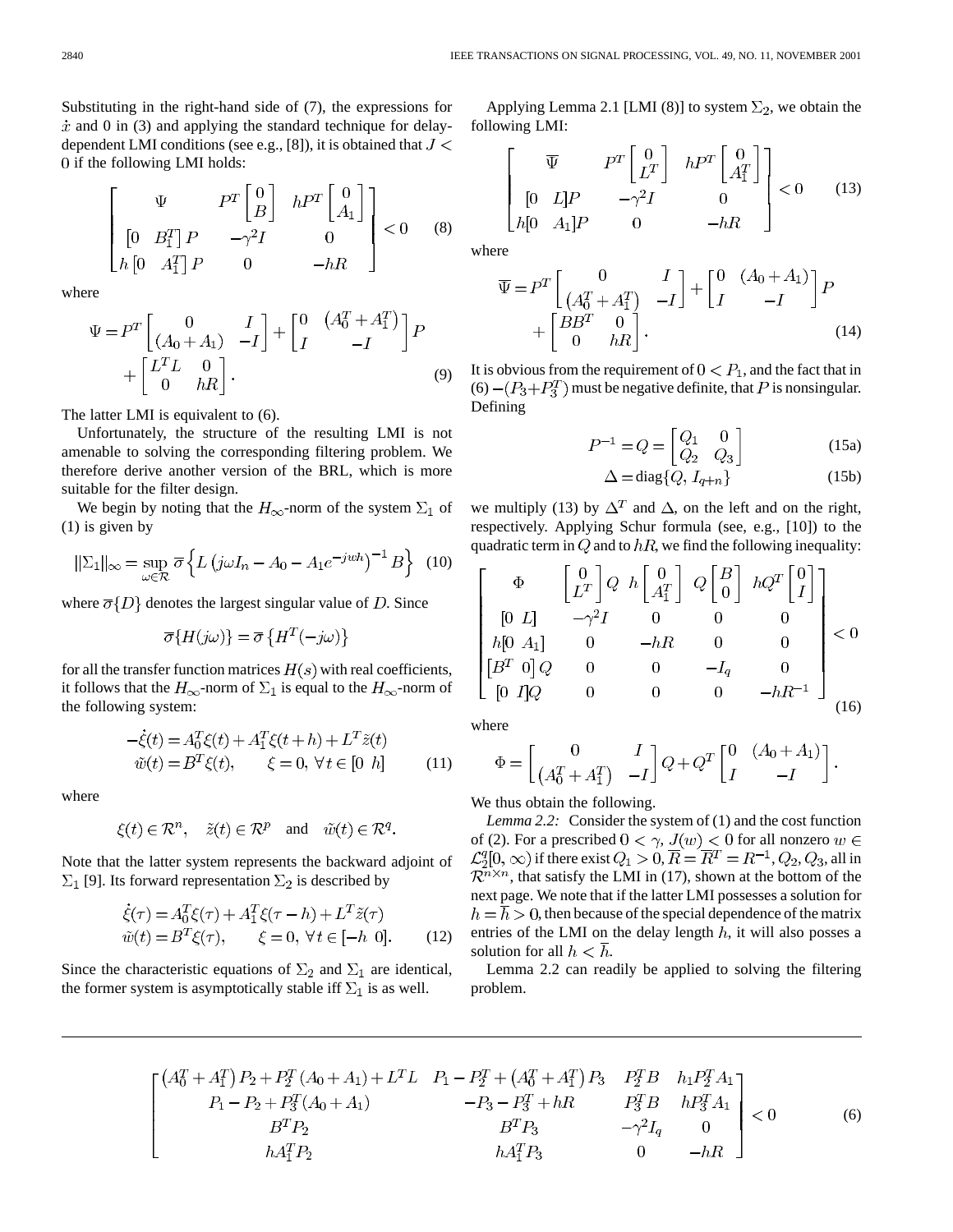Substituting in the right-hand side of (7), the expressions for  $\dot{x}$  and 0 in (3) and applying the standard technique for delaydependent LMI conditions (see e.g., [8]), it is obtained that  $J \leq$ 0 if the following LMI holds:

$$
\begin{bmatrix}\n\Psi & P^T \begin{bmatrix} 0 \\ B \end{bmatrix} & h P^T \begin{bmatrix} 0 \\ A_1 \end{bmatrix} \\
\begin{bmatrix} 0 & B_1^T \end{bmatrix} P & -\gamma^2 I & 0 \\
h \begin{bmatrix} 0 & A_1^T \end{bmatrix} P & 0 & -hR\n\end{bmatrix} < 0 \quad (8)
$$

where

$$
\Psi = P^T \begin{bmatrix} 0 & I \\ (A_0 + A_1) & -I \end{bmatrix} + \begin{bmatrix} 0 & (A_0^T + A_1^T) \\ I & -I \end{bmatrix} P \n+ \begin{bmatrix} L^T L & 0 \\ 0 & hR \end{bmatrix}.
$$
\n(9)

The latter LMI is equivalent to (6).

Unfortunately, the structure of the resulting LMI is not amenable to solving the corresponding filtering problem. We therefore derive another version of the BRL, which is more suitable for the filter design.

We begin by noting that the  $H_{\infty}$ -norm of the system  $\Sigma_1$  of (1) is given by

$$
\|\Sigma_1\|_{\infty} = \sup_{\omega \in \mathcal{R}} \overline{\sigma} \left\{ L \left( j\omega I_n - A_0 - A_1 e^{-jwh} \right)^{-1} B \right\} (10)
$$

where  $\overline{\sigma}{D}$  denotes the largest singular value of D. Since

$$
\overline{\sigma}\{H(j\omega)\} = \overline{\sigma}\{H^T(-j\omega)\}
$$

for all the transfer function matrices  $H(s)$  with real coefficients, it follows that the  $H_{\infty}$ -norm of  $\Sigma_1$  is equal to the  $H_{\infty}$ -norm of the following system:

$$
-\dot{\xi}(t) = A_0^T \xi(t) + A_1^T \xi(t + h) + L^T \tilde{z}(t)
$$
  
\n
$$
\tilde{w}(t) = B^T \xi(t), \qquad \xi = 0, \forall t \in [0 \; h]
$$
\n(11)

where

$$
\xi(t) \in \mathbb{R}^n
$$
,  $\tilde{z}(t) \in \mathbb{R}^p$  and  $\tilde{w}(t) \in \mathbb{R}^q$ .

Note that the latter system represents the backward adjoint of  $\Sigma_1$  [9]. Its forward representation  $\Sigma_2$  is described by

$$
\dot{\xi}(\tau) = A_0^T \xi(\tau) + A_1^T \xi(\tau - h) + L^T \tilde{z}(\tau)
$$
  
\n
$$
\tilde{w}(t) = B^T \xi(\tau), \qquad \xi = 0, \forall t \in [-h \ 0]. \tag{12}
$$

Since the characteristic equations of  $\Sigma_2$  and  $\Sigma_1$  are identical, the former system is asymptotically stable iff  $\Sigma_1$  is as well.

Applying Lemma 2.1 [LMI (8)] to system  $\Sigma_2$ , we obtain the following LMI:

$$
\begin{bmatrix}\n\overline{\Psi} & P^T \begin{bmatrix} 0 \\ L^T \end{bmatrix} & h P^T \begin{bmatrix} 0 \\ A_1^T \end{bmatrix} \\
[0 \quad L]P & -\gamma^2 I & 0 \\
h[0 \quad A_1]P & 0 & -hR\n\end{bmatrix} < 0 \tag{13}
$$

where

$$
\overline{\Psi} = P^T \begin{bmatrix} 0 & I \\ (A_0^T + A_1^T) & -I \end{bmatrix} + \begin{bmatrix} 0 & (A_0 + A_1) \\ I & -I \end{bmatrix} P + \begin{bmatrix} BB^T & 0 \\ 0 & hR \end{bmatrix}.
$$
 (14)

It is obvious from the requirement of  $0 < P_1$ , and the fact that in (6)  $-(P_3 + P_3^T)$  must be negative definite, that P is nonsingular. Defining

$$
P^{-1} = Q = \begin{bmatrix} Q_1 & 0 \\ Q_2 & Q_3 \end{bmatrix}
$$
 (15a)

$$
\Delta = \text{diag}\{Q, I_{q+n}\}\tag{15b}
$$

we multiply (13) by  $\Delta^T$  and  $\Delta$ , on the left and on the right, respectively. Applying Schur formula (see, e.g., [10]) to the quadratic term in  $Q$  and to  $hR$ , we find the following inequality:

$$
\begin{bmatrix}\n\Phi & \begin{bmatrix} 0 \\ L^T \end{bmatrix} Q & h \begin{bmatrix} 0 \\ A_1^T \end{bmatrix} & Q \begin{bmatrix} B \\ 0 \end{bmatrix} & hQ^T \begin{bmatrix} 0 \\ I \end{bmatrix} \\
\begin{bmatrix} 0 & L \end{bmatrix} & -\gamma^2 I & 0 & 0 & 0 \\
h[0 & A_1] & 0 & -hR & 0 & 0 \\
\begin{bmatrix} B^T & 0 \end{bmatrix} Q & 0 & 0 & -I_q & 0 \\
0 & 0 & 0 & -hR^{-1} \end{bmatrix} & & \\
\begin{bmatrix} 0 & I \end{bmatrix} Q & 0 & 0 & 0 & -hR^{-1} \\
0 & 0 & 0 & 0 & -hR^{-1} \end{bmatrix} & & \\
\begin{bmatrix} 0 & 0 & 0 & 0 & -hR^{-1} \\
0 & 0 & 0 & 0 & 0 \\
0 & 0 & 0 & 0 & 0\n\end{bmatrix} & & \\
\begin{bmatrix} 0 & 0 & 0 & 0 & 0 \\
0 & 0 & 0 & 0 & 0 \\
0 & 0 & 0 & 0 & 0\n\end{bmatrix} & & \\
\begin{bmatrix} 0 & 0 & 0 & 0 & 0 \\
0 & 0 & 0 & 0 & 0 \\
0 & 0 & 0 & 0 & 0 \\
0 & 0 & 0 & 0 & 0\n\end{bmatrix} & & \\
\begin{bmatrix} 0 & 0 & 0 & 0 & 0 \\
0 & 0 & 0 & 0 & 0 \\
0 & 0 & 0 & 0 & 0 \\
0 & 0 & 0 & 0 & 0 \\
0 & 0 & 0 & 0 & 0\n\end{bmatrix} & & \\
\begin{bmatrix} 0 & 0 & 0 & 0 & 0 \\
0 & 0 & 0 & 0 & 0 \\
0 & 0 & 0 & 0 & 0 \\
0 & 0 & 0 & 0 & 0 \\
0 & 0 & 0 & 0 & 0\n\end{bmatrix} & & \\
\begin{bmatrix} 0 & 0 & 0 & 0 & 0 \\
0 & 0 & 0 & 0 & 0 \\
0 & 0 & 0 & 0 & 0 \\
0 & 0 & 0 & 0 & 0 \\
0 & 0 & 0 & 0 & 0 \\
0 & 0 & 0 & 0 & 0\n\end{bmatrix} & & \\
\begin{bmatrix} 0 & 0 & 0 & 0 & 0 \\
0 & 0 & 0 & 0 & 0
$$

where

$$
\Phi = \begin{bmatrix} 0 & I \\ \left(A_0^T + A_1^T\right) & -I \end{bmatrix} Q + Q^T \begin{bmatrix} 0 & \left(A_0 + A_1\right) \\ I & -I \end{bmatrix}
$$

We thus obtain the following.

*Lemma 2.2:* Consider the system of (1) and the cost function of (2). For a prescribed  $0 < \gamma$ ,  $J(w) < 0$  for all nonzero  $w \in$  $\mathcal{L}_2^q[0,\infty)$  if there exist  $Q_1 > 0, \overline{R} = \overline{R}^T = R^{-1}, Q_2, Q_3$ , all in  $\mathcal{R}^{n \times n}$ , that satisfy the LMI in (17), shown at the bottom of the next page. We note that if the latter LMI possesses a solution for  $h = \overline{h} > 0$ , then because of the special dependence of the matrix entries of the LMI on the delay length  $h$ , it will also posses a solution for all  $h < h$ .

Lemma 2.2 can readily be applied to solving the filtering problem.

$$
\begin{bmatrix}\n(A_0^T + A_1^T) P_2 + P_2^T (A_0 + A_1) + L^T L & P_1 - P_2^T + (A_0^T + A_1^T) P_3 & P_2^T B & h_1 P_2^T A_1 \\
P_1 - P_2 + P_3^T (A_0 + A_1) & -P_3 - P_3^T + hR & P_3^T B & h P_3^T A_1 \\
B^T P_2 & B^T P_3 & -\gamma^2 I_q & 0 \\
h A_1^T P_2 & h A_1^T P_3 & 0 & -hR\n\end{bmatrix} < 0
$$
\n(6)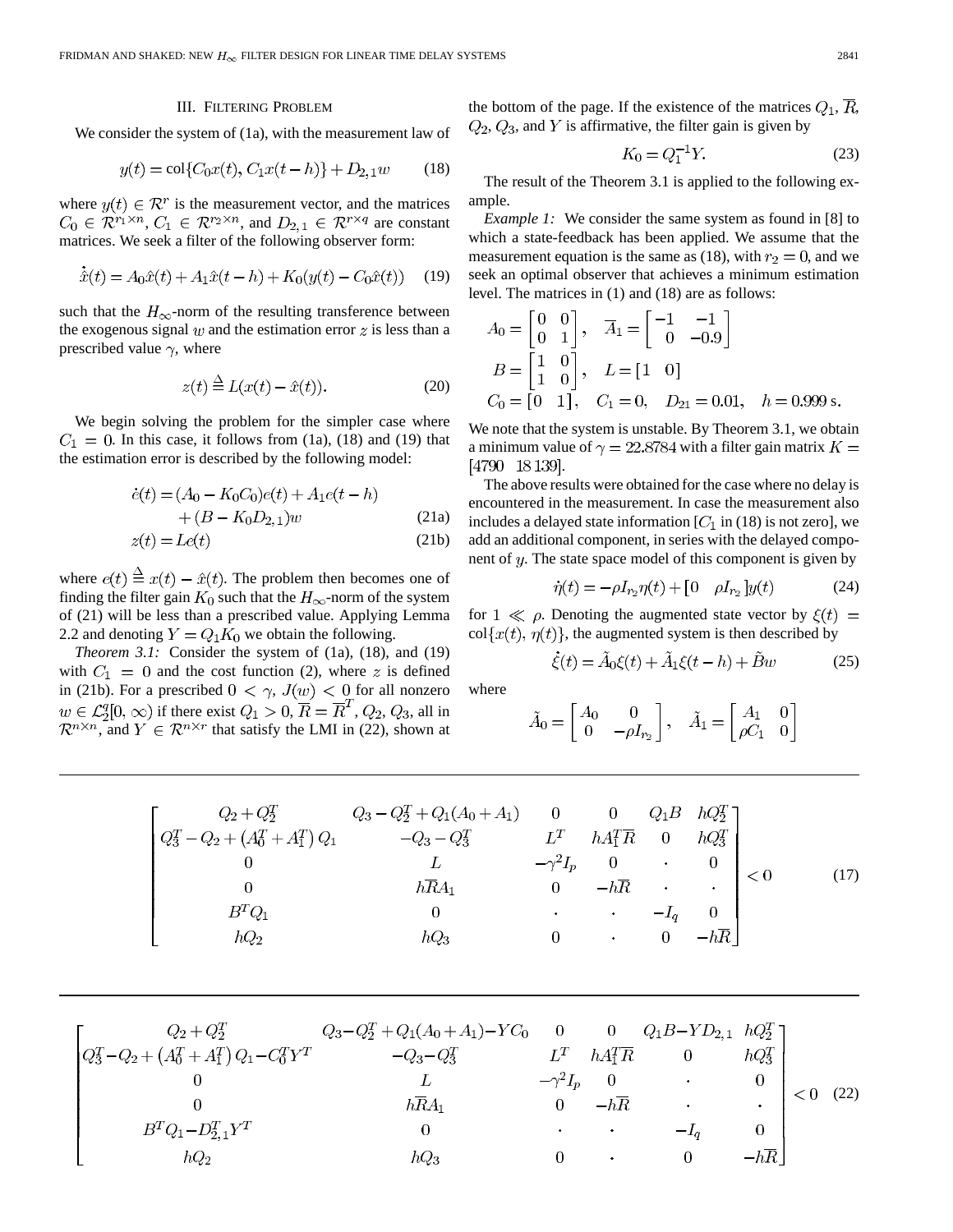#### III. FILTERING PROBLEM

We consider the system of (1a), with the measurement law of

$$
y(t) = \text{col}\{C_0x(t), C_1x(t-h)\} + D_{2,1}w \tag{18}
$$

where  $y(t) \in \mathcal{R}^r$  is the measurement vector, and the matrices  $C_0 \in \mathbb{R}^{r_1 \times n}$ ,  $C_1 \in \mathbb{R}^{r_2 \times n}$ , and  $D_{2,1} \in \mathbb{R}^{r \times q}$  are constant matrices. We seek a filter of the following observer form:

$$
\dot{\hat{x}}(t) = A_0 \hat{x}(t) + A_1 \hat{x}(t - h) + K_0(y(t) - C_0 \hat{x}(t)) \tag{19}
$$

such that the  $H_{\infty}$ -norm of the resulting transference between the exogenous signal  $w$  and the estimation error  $z$  is less than a prescribed value  $\gamma$ , where

$$
z(t) \stackrel{\Delta}{=} L(x(t) - \hat{x}(t)).
$$
 (20)

We begin solving the problem for the simpler case where  $C_1 = 0$ . In this case, it follows from (1a), (18) and (19) that the estimation error is described by the following model:

$$
\dot{e}(t) = (A_0 - K_0 C_0)e(t) + A_1 e(t - h)
$$
  
+ 
$$
(B - K_0 D_{2,1})w
$$
 (21a)

$$
z(t) = Le(t)
$$
 (21b)

where  $e(t) \triangleq x(t) - \hat{x}(t)$ . The problem then becomes one of finding the filter gain  $K_0$  such that the  $H_{\infty}$ -norm of the system of (21) will be less than a prescribed value. Applying Lemma 2.2 and denoting  $Y = Q_1 K_0$  we obtain the following.

*Theorem 3.1:* Consider the system of (1a), (18), and (19) with  $C_1 = 0$  and the cost function (2), where z is defined in (21b). For a prescribed  $0 < \gamma$ ,  $J(w) < 0$  for all nonzero  $w \in \mathcal{L}_2^q[0, \infty)$  if there exist  $Q_1 > 0, \overline{R} = \overline{R}^T, Q_2, Q_3$ , all in  $\mathcal{R}^{n \times n}$ , and  $Y \in \mathcal{R}^{n \times r}$  that satisfy the LMI in (22), shown at

the bottom of the page. If the existence of the matrices  $Q_1$ ,  $\overline{R}$ ,  $Q_2$ ,  $Q_3$ , and Y is affirmative, the filter gain is given by

$$
K_0 = Q_1^{-1} Y. \tag{23}
$$

The result of the Theorem 3.1 is applied to the following example.

*Example 1:* We consider the same system as found in [8] to which a state-feedback has been applied. We assume that the measurement equation is the same as (18), with  $r_2 = 0$ , and we seek an optimal observer that achieves a minimum estimation level. The matrices in (1) and (18) are as follows:

$$
A_0 = \begin{bmatrix} 0 & 0 \\ 0 & 1 \end{bmatrix}, \quad \overline{A}_1 = \begin{bmatrix} -1 & -1 \\ 0 & -0.9 \end{bmatrix}
$$

$$
B = \begin{bmatrix} 1 & 0 \\ 1 & 0 \end{bmatrix}, \quad L = \begin{bmatrix} 1 & 0 \end{bmatrix}
$$

$$
C_0 = \begin{bmatrix} 0 & 1 \end{bmatrix}, \quad C_1 = 0, \quad D_{21} = 0.01, \quad h = 0.999 \text{ s.}
$$

We note that the system is unstable. By Theorem 3.1, we obtain a minimum value of  $\gamma = 22.8784$  with a filter gain matrix  $K =$ [4790 18 139]

The above results were obtained for the case where no delay is encountered in the measurement. In case the measurement also includes a delayed state information  $[C_1$  in (18) is not zero], we add an additional component, in series with the delayed component of  $y$ . The state space model of this component is given by

$$
\dot{\eta}(t) = -\rho I_{r_2} \eta(t) + \begin{bmatrix} 0 & \rho I_{r_2} \end{bmatrix} y(t) \tag{24}
$$

for  $1 \ll \rho$ . Denoting the augmented state vector by  $\xi(t) =$  $col{x(t), \eta(t)}$ , the augmented system is then described by

$$
\dot{\xi}(t) = \tilde{A}_0 \xi(t) + \tilde{A}_1 \xi(t - h) + \tilde{B}w
$$
 (25)

where

$$
\tilde{A}_0 = \begin{bmatrix} A_0 & 0 \\ 0 & -\rho I_{r_2} \end{bmatrix}, \quad \tilde{A}_1 = \begin{bmatrix} A_1 & 0 \\ \rho C_1 & 0 \end{bmatrix}
$$

$$
\begin{bmatrix}\nQ_2 + Q_2^T & Q_3 - Q_2^T + Q_1(A_0 + A_1) & 0 & 0 & Q_1B & hQ_2^T \\
Q_3^T - Q_2 + (A_0^T + A_1^T)Q_1 & -Q_3 - Q_3^T & L^T & hA_1^T\overline{R} & 0 & hQ_3^T \\
0 & L & -\gamma^2 I_p & 0 & 0 \\
0 & h\overline{R}A_1 & 0 & -h\overline{R} & \cdot & \cdot \\
B^T Q_1 & 0 & \cdot & \cdot & -I_q & 0 \\
hQ_2 & hQ_3 & 0 & \cdot & 0 & -h\overline{R}\n\end{bmatrix} < 0
$$
\n(17)

$$
\begin{bmatrix}\nQ_2 + Q_2^T & Q_3 - Q_2^T + Q_1(A_0 + A_1) - YC_0 & 0 & 0 & Q_1B - YD_{2,1} & hQ_2^T \\
Q_3^T - Q_2 + (A_0^T + A_1^T)Q_1 - C_0^T Y^T & -Q_3 - Q_3^T & L^T & hA_1^T \overline{R} & 0 & hQ_3^T \\
0 & L & -\gamma^2 I_p & 0 & 0 & 0 \\
0 & h\overline{R}A_1 & 0 & -h\overline{R} & . & . \\
B^T Q_1 - D_{2,1}^T Y^T & 0 & hQ_3 & 0 & 0 & -h\overline{R}\n\end{bmatrix} < 0 \quad (22)
$$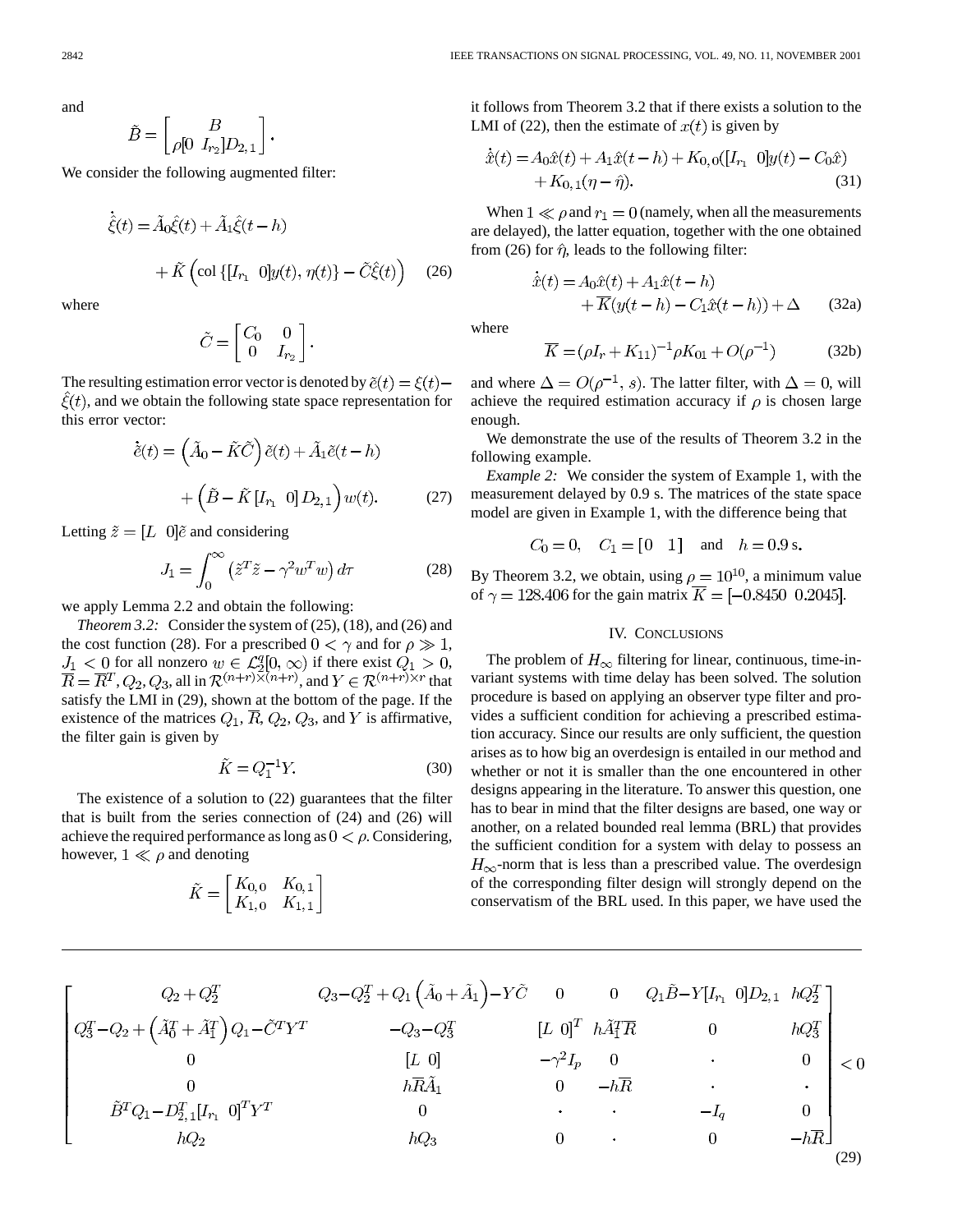and

$$
\tilde{B} = \begin{bmatrix} B \\ \rho[0 \ I_{r_2}] D_{2,1} \end{bmatrix}.
$$

We consider the following augmented filter:

$$
\dot{\hat{\xi}}(t) = \tilde{A}_0 \hat{\xi}(t) + \tilde{A}_1 \hat{\xi}(t - h) + \tilde{K} \left( \text{col} \{ [I_{r_1} \ 0] y(t), \eta(t) \} - \tilde{C} \hat{\xi}(t) \right)
$$
(26)

where

$$
\tilde{C} = \begin{bmatrix} C_0 & 0 \\ 0 & I_{r_2} \end{bmatrix}.
$$

The resulting estimation error vector is denoted by  $\tilde{e}(t) = \xi(t) \hat{\xi}(t)$ , and we obtain the following state space representation for this error vector:

$$
\dot{\tilde{e}}(t) = \left(\tilde{A}_0 - \tilde{K}\tilde{C}\right)\tilde{e}(t) + \tilde{A}_1\tilde{e}(t - h) + \left(\tilde{B} - \tilde{K}\left[I_{r_1} \quad 0\right]D_{2,1}\right)w(t).
$$
 (27)

Letting  $\tilde{z} = [L \ 0]\tilde{e}$  and considering

$$
J_1 = \int_0^\infty \left(\tilde{z}^T \tilde{z} - \gamma^2 w^T w\right) d\tau \tag{28}
$$

we apply Lemma 2.2 and obtain the following:

*Theorem 3.2:* Consider the system of (25), (18), and (26) and the cost function (28). For a prescribed  $0 < \gamma$  and for  $\rho \gg 1$ , for all nonzero  $w \in \mathcal{L}_2^q[0,\infty)$  if there exist  $Q_1 > 0$ , ,  $Q_2$ ,  $Q_3$ , all in  $\mathcal{R}^{(n+r)\times (n+r)}$ , and  $Y \in \mathcal{R}^{(n+r)\times r}$  that satisfy the LMI in (29), shown at the bottom of the page. If the existence of the matrices  $Q_1$ ,  $\overline{R}$ ,  $Q_2$ ,  $Q_3$ , and Y is affirmative, the filter gain is given by

$$
\tilde{K} = Q_1^{-1}Y.\tag{30}
$$

The existence of a solution to (22) guarantees that the filter that is built from the series connection of (24) and (26) will achieve the required performance as long as  $0 < \rho$ . Considering, however,  $1 \ll \rho$  and denoting

$$
\tilde{K} = \begin{bmatrix} K_{0,0} & K_{0,1} \\ K_{1,0} & K_{1,1} \end{bmatrix}
$$

it follows from Theorem 3.2 that if there exists a solution to the LMI of (22), then the estimate of  $x(t)$  is given by

$$
\hat{x}(t) = A_0 \hat{x}(t) + A_1 \hat{x}(t - h) + K_{0,0}([I_{r_1} \ 0]y(t) - C_0 \hat{x}) \n+ K_{0,1}(\eta - \hat{\eta}).
$$
\n(31)

When  $1 \ll \rho$  and  $r_1 = 0$  (namely, when all the measurements are delayed), the latter equation, together with the one obtained from (26) for  $\hat{\eta}$ , leads to the following filter:

$$
\dot{\hat{x}}(t) = A_0 \hat{x}(t) + A_1 \hat{x}(t - h)
$$

$$
+ \overline{K}(y(t - h) - C_1 \hat{x}(t - h)) + \Delta \qquad (32a)
$$

where

$$
\overline{K} = (\rho I_r + K_{11})^{-1} \rho K_{01} + O(\rho^{-1})
$$
 (32b)

and where  $\Delta = O(\rho^{-1}, s)$ . The latter filter, with  $\Delta = 0$ , will achieve the required estimation accuracy if  $\rho$  is chosen large enough.

We demonstrate the use of the results of Theorem 3.2 in the following example.

*Example 2:* We consider the system of Example 1, with the measurement delayed by 0.9 s. The matrices of the state space model are given in Example 1, with the difference being that

 $C_0 = 0$ ,  $C_1 = [0 \ 1]$  and  $h = 0.9$  s.

By Theorem 3.2, we obtain, using  $\rho = 10^{10}$ , a minimum value of  $\gamma = 128.406$  for the gain matrix  $\overline{K} = [-0.8450, 0.2045]$ .

## IV. CONCLUSIONS

The problem of  $H_{\infty}$  filtering for linear, continuous, time-invariant systems with time delay has been solved. The solution procedure is based on applying an observer type filter and provides a sufficient condition for achieving a prescribed estimation accuracy. Since our results are only sufficient, the question arises as to how big an overdesign is entailed in our method and whether or not it is smaller than the one encountered in other designs appearing in the literature. To answer this question, one has to bear in mind that the filter designs are based, one way or another, on a related bounded real lemma (BRL) that provides the sufficient condition for a system with delay to possess an  $H_{\infty}$ -norm that is less than a prescribed value. The overdesign of the corresponding filter design will strongly depend on the conservatism of the BRL used. In this paper, we have used the

$$
\begin{bmatrix}\nQ_2 + Q_2^T & Q_3 - Q_2^T + Q_1 \left(\tilde{A}_0 + \tilde{A}_1\right) - Y\tilde{C} & 0 & 0 & Q_1 \tilde{B} - Y[I_{r_1} & 0]D_{2,1} & hQ_2^T \\
Q_3^T - Q_2 + \left(\tilde{A}_0^T + \tilde{A}_1^T\right)Q_1 - \tilde{C}^T Y^T & -Q_3 - Q_3^T & [L & 0]^T & h\tilde{A}_1^T \overline{R} & 0 & hQ_3^T \\
0 & [L & 0] & -\gamma^2 I_p & 0 & 0 & 0 \\
0 & h\overline{R}\tilde{A}_1 & 0 & -h\overline{R} & . & . & . \\
\tilde{B}^T Q_1 - D_{2,1}^T [I_{r_1} & 0]^T Y^T & 0 & hQ_3 & 0 & . & 0 & -h\overline{R}\n\end{bmatrix}\n< 0
$$
\n(29)